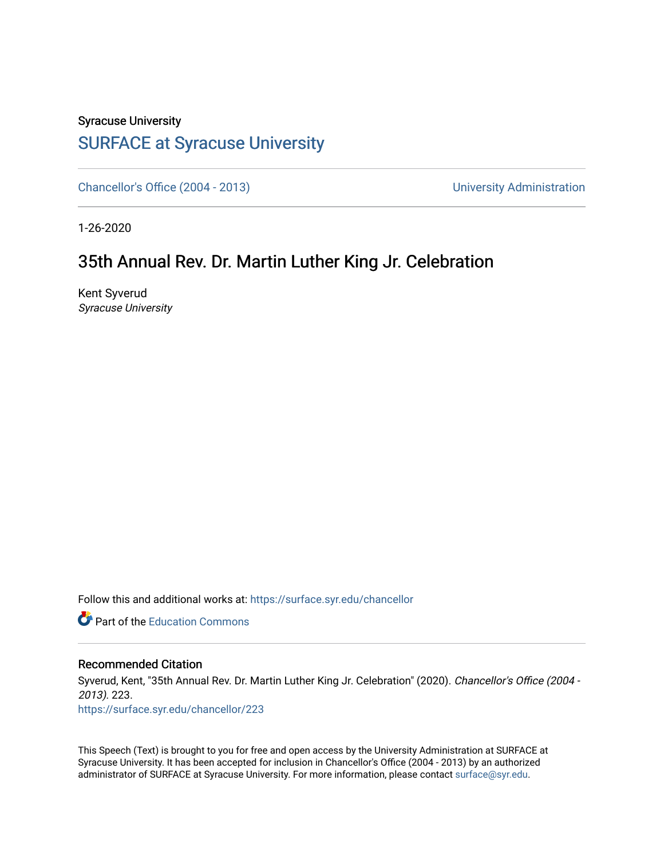## Syracuse University [SURFACE at Syracuse University](https://surface.syr.edu/)

[Chancellor's Office \(2004 - 2013\)](https://surface.syr.edu/chancellor) Chancellor's Office (2004 - 2013)

1-26-2020

## 35th Annual Rev. Dr. Martin Luther King Jr. Celebration

Kent Syverud Syracuse University

Follow this and additional works at: [https://surface.syr.edu/chancellor](https://surface.syr.edu/chancellor?utm_source=surface.syr.edu%2Fchancellor%2F223&utm_medium=PDF&utm_campaign=PDFCoverPages) 

**C** Part of the [Education Commons](http://network.bepress.com/hgg/discipline/784?utm_source=surface.syr.edu%2Fchancellor%2F223&utm_medium=PDF&utm_campaign=PDFCoverPages)

## Recommended Citation

Syverud, Kent, "35th Annual Rev. Dr. Martin Luther King Jr. Celebration" (2020). Chancellor's Office (2004 - 2013). 223.

[https://surface.syr.edu/chancellor/223](https://surface.syr.edu/chancellor/223?utm_source=surface.syr.edu%2Fchancellor%2F223&utm_medium=PDF&utm_campaign=PDFCoverPages) 

This Speech (Text) is brought to you for free and open access by the University Administration at SURFACE at Syracuse University. It has been accepted for inclusion in Chancellor's Office (2004 - 2013) by an authorized administrator of SURFACE at Syracuse University. For more information, please contact [surface@syr.edu.](mailto:surface@syr.edu)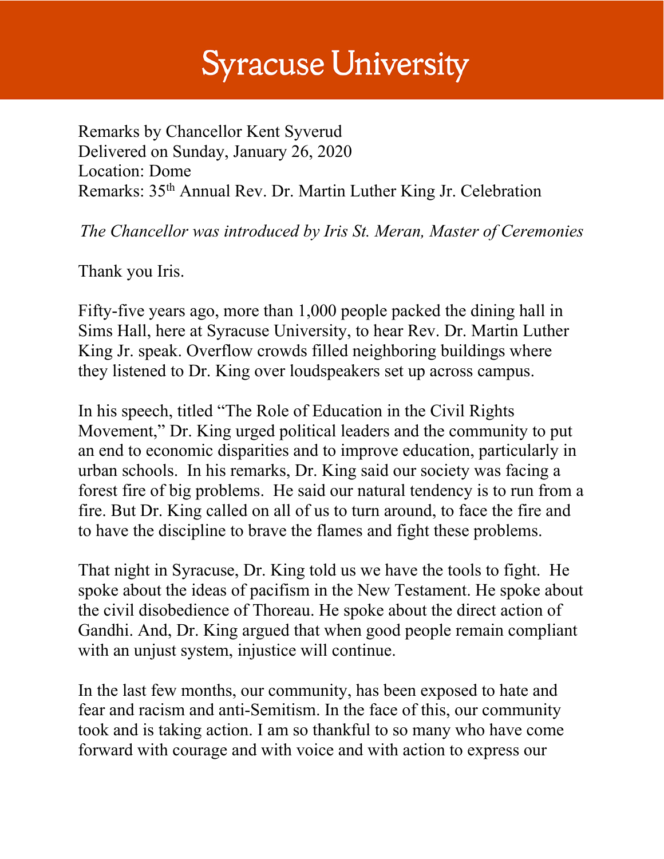## **Syracuse University**

Remarks by Chancellor Kent Syverud Delivered on Sunday, January 26, 2020 Location: Dome Remarks: 35th Annual Rev. Dr. Martin Luther King Jr. Celebration

*The Chancellor was introduced by Iris St. Meran, Master of Ceremonies* 

Thank you Iris.

Fifty-five years ago, more than 1,000 people packed the dining hall in Sims Hall, here at Syracuse University, to hear Rev. Dr. Martin Luther King Jr. speak. Overflow crowds filled neighboring buildings where they listened to Dr. King over loudspeakers set up across campus.

In his speech, titled "The Role of Education in the Civil Rights Movement," Dr. King urged political leaders and the community to put an end to economic disparities and to improve education, particularly in urban schools. In his remarks, Dr. King said our society was facing a forest fire of big problems. He said our natural tendency is to run from a fire. But Dr. King called on all of us to turn around, to face the fire and to have the discipline to brave the flames and fight these problems.

That night in Syracuse, Dr. King told us we have the tools to fight. He spoke about the ideas of pacifism in the New Testament. He spoke about the civil disobedience of Thoreau. He spoke about the direct action of Gandhi. And, Dr. King argued that when good people remain compliant with an unjust system, injustice will continue.

In the last few months, our community, has been exposed to hate and fear and racism and anti-Semitism. In the face of this, our community took and is taking action. I am so thankful to so many who have come forward with courage and with voice and with action to express our